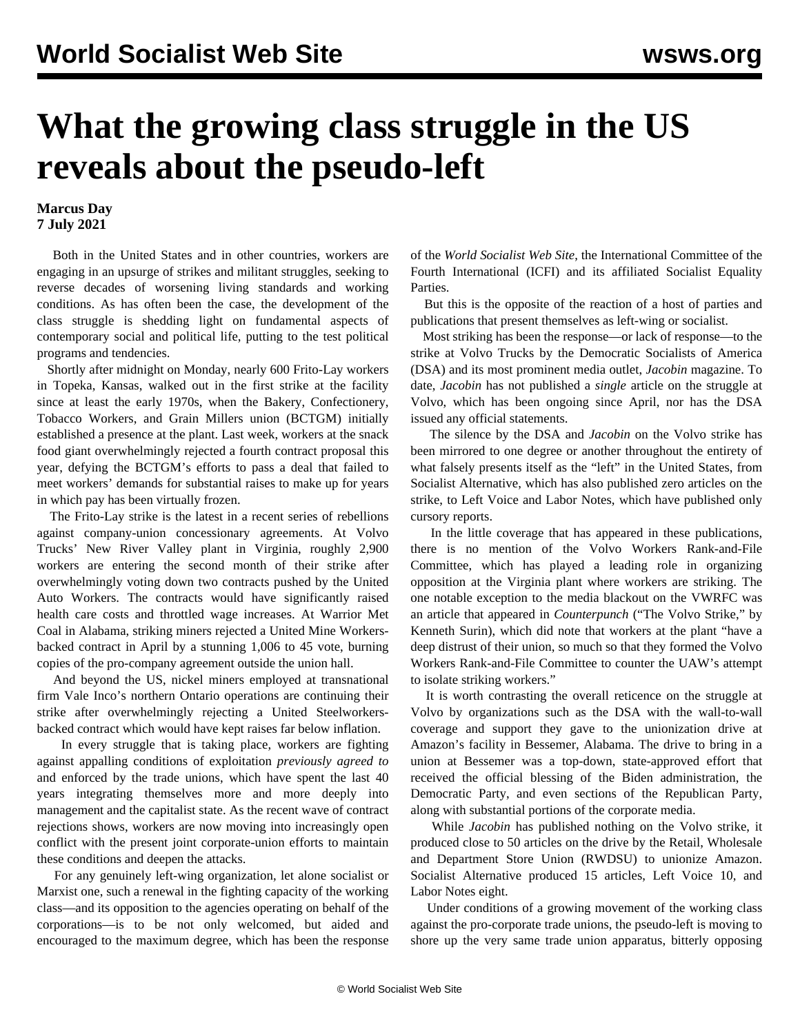## **What the growing class struggle in the US reveals about the pseudo-left**

## **Marcus Day 7 July 2021**

 Both in the United States and in other countries, workers are engaging in an upsurge of strikes and militant struggles, seeking to reverse decades of worsening living standards and working conditions. As has often been the case, the development of the class struggle is shedding light on fundamental aspects of contemporary social and political life, putting to the test political programs and tendencies.

 Shortly after midnight on Monday, nearly 600 Frito-Lay workers in Topeka, Kansas, walked out in the first strike at the facility since at least the early 1970s, when the Bakery, Confectionery, Tobacco Workers, and Grain Millers union (BCTGM) initially established a presence at the plant. Last week, workers at the snack food giant overwhelmingly rejected a fourth contract proposal this year, defying the BCTGM's efforts to pass a deal that failed to meet workers' demands for substantial raises to make up for years in which pay has been virtually frozen.

 The Frito-Lay strike is the latest in a recent series of rebellions against company-union concessionary agreements. At Volvo Trucks' New River Valley plant in Virginia, roughly 2,900 workers are entering the second month of their strike after overwhelmingly voting down two contracts pushed by the United Auto Workers. The contracts would have significantly raised health care costs and throttled wage increases. At Warrior Met Coal in Alabama, striking miners rejected a United Mine Workersbacked contract in April by a stunning 1,006 to 45 vote, burning copies of the pro-company agreement outside the union hall.

 And beyond the US, nickel miners employed at transnational firm Vale Inco's northern Ontario operations are continuing their strike after overwhelmingly rejecting a United Steelworkersbacked contract which would have kept raises far below inflation.

 In every struggle that is taking place, workers are fighting against appalling conditions of exploitation *previously agreed to* and enforced by the trade unions, which have spent the last 40 years integrating themselves more and more deeply into management and the capitalist state. As the recent wave of contract rejections shows, workers are now moving into increasingly open conflict with the present joint corporate-union efforts to maintain these conditions and deepen the attacks.

 For any genuinely left-wing organization, let alone socialist or Marxist one, such a renewal in the fighting capacity of the working class—and its opposition to the agencies operating on behalf of the corporations—is to be not only welcomed, but aided and encouraged to the maximum degree, which has been the response of the *World Socialist Web Site*, the International Committee of the Fourth International (ICFI) and its affiliated Socialist Equality Parties.

 But this is the opposite of the reaction of a host of parties and publications that present themselves as left-wing or socialist.

 Most striking has been the response—or lack of response—to the strike at Volvo Trucks by the Democratic Socialists of America (DSA) and its most prominent media outlet, *Jacobin* magazine. To date, *Jacobin* has not published a *single* article on the struggle at Volvo, which has been ongoing since April, nor has the DSA issued any official statements.

 The silence by the DSA and *Jacobin* on the Volvo strike has been mirrored to one degree or another throughout the entirety of what falsely presents itself as the "left" in the United States, from Socialist Alternative, which has also published zero articles on the strike, to Left Voice and Labor Notes, which have published only cursory reports.

 In the little coverage that has appeared in these publications, there is no mention of the Volvo Workers Rank-and-File Committee, which has played a leading role in organizing opposition at the Virginia plant where workers are striking. The one notable exception to the media blackout on the VWRFC was an article that appeared in *Counterpunch* ("The Volvo Strike," by Kenneth Surin), which did note that workers at the plant "have a deep distrust of their union, so much so that they formed the Volvo Workers Rank-and-File Committee to counter the UAW's attempt to isolate striking workers."

 It is worth contrasting the overall reticence on the struggle at Volvo by organizations such as the DSA with the wall-to-wall coverage and support they gave to the unionization drive at Amazon's facility in Bessemer, Alabama. The drive to bring in a union at Bessemer was a top-down, state-approved effort that received the official blessing of the Biden administration, the Democratic Party, and even sections of the Republican Party, along with substantial portions of the corporate media.

 While *Jacobin* has published nothing on the Volvo strike, it produced close to 50 articles on the drive by the Retail, Wholesale and Department Store Union (RWDSU) to unionize Amazon. Socialist Alternative produced 15 articles, Left Voice 10, and Labor Notes eight.

 Under conditions of a growing movement of the working class against the pro-corporate trade unions, the pseudo-left is moving to shore up the very same trade union apparatus, bitterly opposing